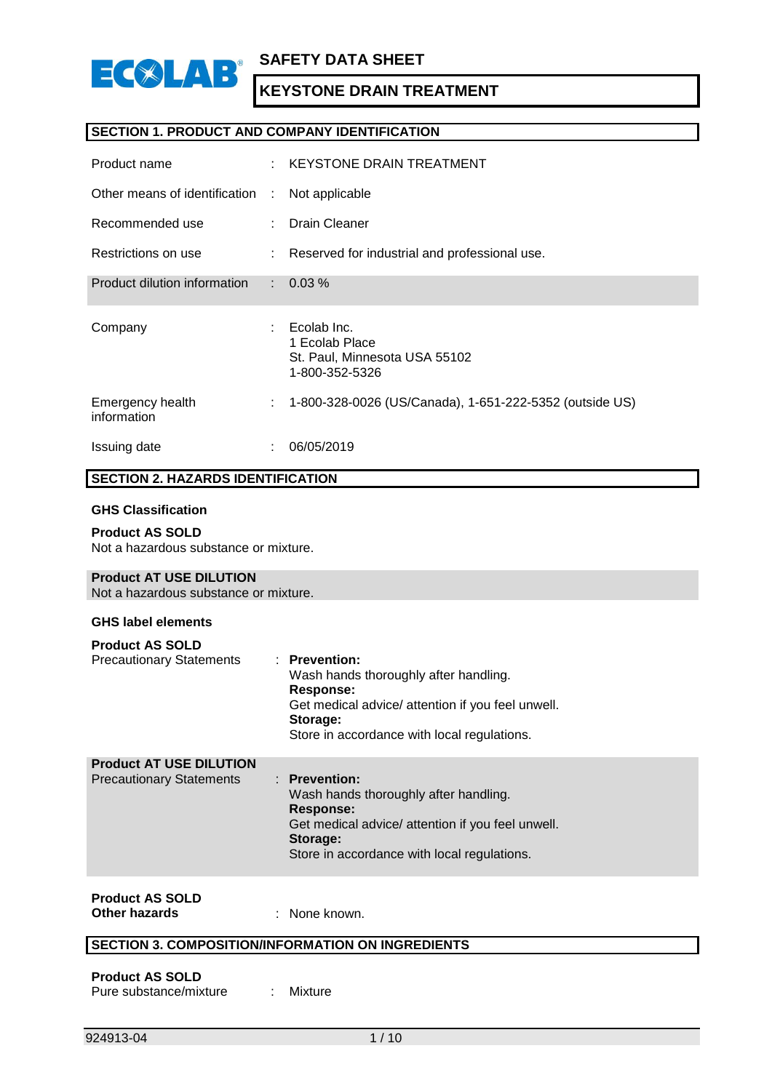

#### **SECTION 1. PRODUCT AND COMPANY IDENTIFICATION**

| Product name                    |    | : KEYSTONE DRAIN TREATMENT                                                       |
|---------------------------------|----|----------------------------------------------------------------------------------|
| Other means of identification   | ÷. | Not applicable                                                                   |
| Recommended use                 |    | Drain Cleaner                                                                    |
| Restrictions on use             |    | : Reserved for industrial and professional use.                                  |
| Product dilution information    |    | $\therefore$ 0.03 %                                                              |
| Company                         |    | Ecolab Inc.<br>1 Ecolab Place<br>St. Paul, Minnesota USA 55102<br>1-800-352-5326 |
| Emergency health<br>information | ÷  | 1-800-328-0026 (US/Canada), 1-651-222-5352 (outside US)                          |
| Issuing date                    |    | 06/05/2019                                                                       |

#### **SECTION 2. HAZARDS IDENTIFICATION**

#### **GHS Classification**

**Product AS SOLD** Not a hazardous substance or mixture.

#### **Product AT USE DILUTION**

Not a hazardous substance or mixture.

#### **GHS label elements**

| <b>Product AS SOLD</b>                                            |                                                                                                                                                                                       |
|-------------------------------------------------------------------|---------------------------------------------------------------------------------------------------------------------------------------------------------------------------------------|
| <b>Precautionary Statements</b>                                   | $:$ Prevention:<br>Wash hands thoroughly after handling.<br>Response:<br>Get medical advice/ attention if you feel unwell.<br>Storage:<br>Store in accordance with local regulations. |
| <b>Product AT USE DILUTION</b><br><b>Precautionary Statements</b> | $:$ Prevention:<br>Wash hands thoroughly after handling.<br>Response:                                                                                                                 |

#### Get medical advice/ attention if you feel unwell. **Storage:**

Store in accordance with local regulations.

# **Product AS SOLD**

**Other hazards** : None known.

### **SECTION 3. COMPOSITION/INFORMATION ON INGREDIENTS**

#### **Product AS SOLD** Pure substance/mixture : Mixture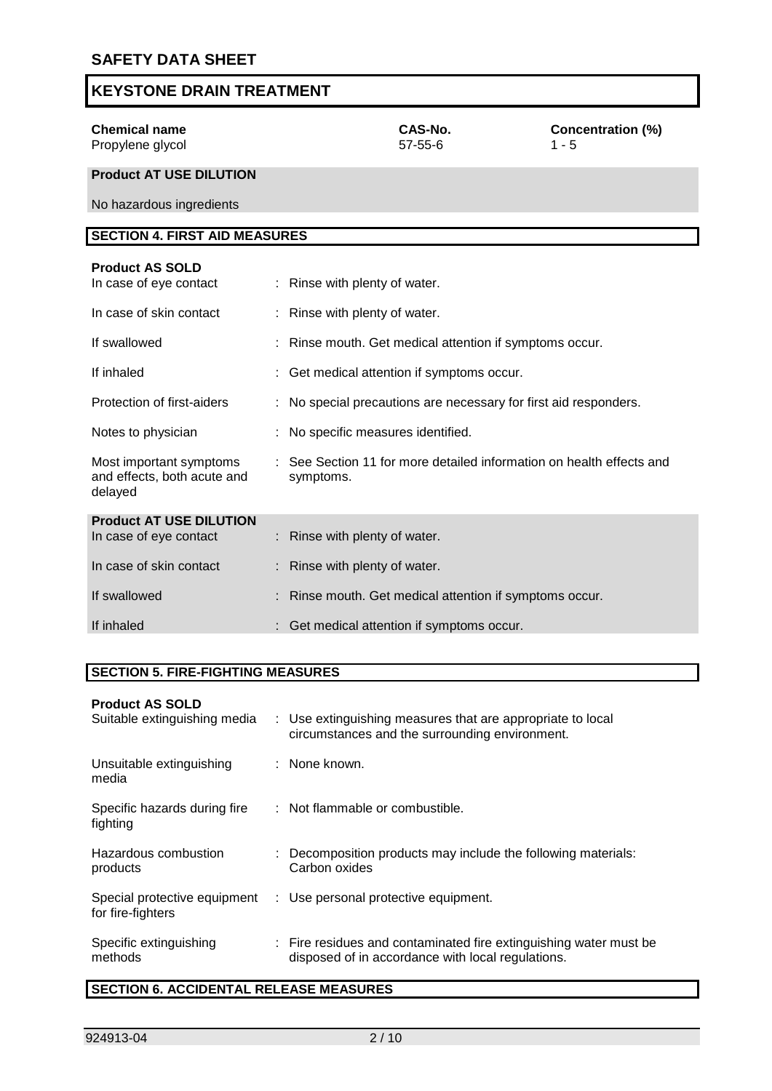| <b>KEYSTONE DRAIN TREATMENT</b>                     |               |       |
|-----------------------------------------------------|---------------|-------|
| <b>Chemical name</b>                                | CAS-No.       | Con   |
| Propylene glycol<br><b>Droduct AT LISE DILITION</b> | $57 - 55 - 6$ | 1 - 5 |

**Concentration (%)**<br>1 - 5

#### **Product AT USE DILUTION**

No hazardous ingredients

# **SECTION 4. FIRST AID MEASURES**

| <b>Product AS SOLD</b><br>In case of eye contact                  | : Rinse with plenty of water.                                                     |
|-------------------------------------------------------------------|-----------------------------------------------------------------------------------|
| In case of skin contact                                           | : Rinse with plenty of water.                                                     |
| If swallowed                                                      | : Rinse mouth. Get medical attention if symptoms occur.                           |
| If inhaled                                                        | : Get medical attention if symptoms occur.                                        |
| Protection of first-aiders                                        | : No special precautions are necessary for first aid responders.                  |
| Notes to physician                                                | : No specific measures identified.                                                |
| Most important symptoms<br>and effects, both acute and<br>delayed | : See Section 11 for more detailed information on health effects and<br>symptoms. |
| <b>Product AT USE DILUTION</b>                                    |                                                                                   |
| In case of eye contact                                            | : Rinse with plenty of water.                                                     |
| In case of skin contact                                           | : Rinse with plenty of water.                                                     |
| If swallowed                                                      | : Rinse mouth. Get medical attention if symptoms occur.                           |
| If inhaled                                                        | : Get medical attention if symptoms occur.                                        |

#### **SECTION 5. FIRE-FIGHTING MEASURES**

#### **Product AS SOLD**

| Suitable extinguishing media                      | : Use extinguishing measures that are appropriate to local<br>circumstances and the surrounding environment.           |
|---------------------------------------------------|------------------------------------------------------------------------------------------------------------------------|
| Unsuitable extinguishing<br>media                 | : None known.                                                                                                          |
| Specific hazards during fire<br>fighting          | : Not flammable or combustible.                                                                                        |
| Hazardous combustion<br>products                  | : Decomposition products may include the following materials:<br>Carbon oxides                                         |
| Special protective equipment<br>for fire-fighters | : Use personal protective equipment.                                                                                   |
| Specific extinguishing<br>methods                 | : Fire residues and contaminated fire extinguishing water must be<br>disposed of in accordance with local regulations. |

# **SECTION 6. ACCIDENTAL RELEASE MEASURES**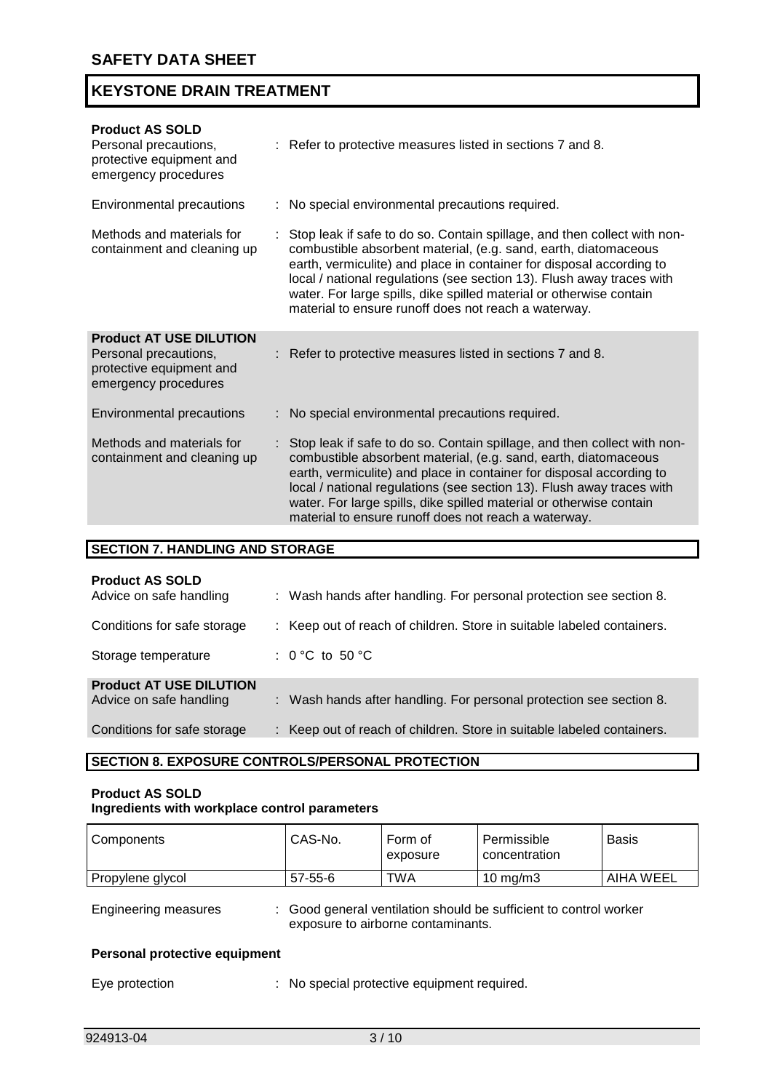| <b>Product AS SOLD</b><br>Personal precautions,<br>protective equipment and<br>emergency procedures         | : Refer to protective measures listed in sections 7 and 8.                                                                                                                                                                                                                                                                                                                                                                    |
|-------------------------------------------------------------------------------------------------------------|-------------------------------------------------------------------------------------------------------------------------------------------------------------------------------------------------------------------------------------------------------------------------------------------------------------------------------------------------------------------------------------------------------------------------------|
| Environmental precautions                                                                                   | No special environmental precautions required.                                                                                                                                                                                                                                                                                                                                                                                |
| Methods and materials for<br>containment and cleaning up                                                    | Stop leak if safe to do so. Contain spillage, and then collect with non-<br>combustible absorbent material, (e.g. sand, earth, diatomaceous<br>earth, vermiculite) and place in container for disposal according to<br>local / national regulations (see section 13). Flush away traces with<br>water. For large spills, dike spilled material or otherwise contain<br>material to ensure runoff does not reach a waterway.   |
| <b>Product AT USE DILUTION</b><br>Personal precautions,<br>protective equipment and<br>emergency procedures | : Refer to protective measures listed in sections 7 and 8.                                                                                                                                                                                                                                                                                                                                                                    |
| Environmental precautions                                                                                   | : No special environmental precautions required.                                                                                                                                                                                                                                                                                                                                                                              |
| Methods and materials for<br>containment and cleaning up                                                    | : Stop leak if safe to do so. Contain spillage, and then collect with non-<br>combustible absorbent material, (e.g. sand, earth, diatomaceous<br>earth, vermiculite) and place in container for disposal according to<br>local / national regulations (see section 13). Flush away traces with<br>water. For large spills, dike spilled material or otherwise contain<br>material to ensure runoff does not reach a waterway. |

| <b>SECTION 7. HANDLING AND STORAGE</b>                    |                                                                        |
|-----------------------------------------------------------|------------------------------------------------------------------------|
| <b>Product AS SOLD</b><br>Advice on safe handling         | : Wash hands after handling. For personal protection see section 8.    |
| Conditions for safe storage                               | : Keep out of reach of children. Store in suitable labeled containers. |
| Storage temperature                                       | : $0^{\circ}$ C to 50 $^{\circ}$ C                                     |
| <b>Product AT USE DILUTION</b><br>Advice on safe handling | : Wash hands after handling. For personal protection see section 8.    |
| Conditions for safe storage                               | : Keep out of reach of children. Store in suitable labeled containers. |

# **SECTION 8. EXPOSURE CONTROLS/PERSONAL PROTECTION**

#### **Product AS SOLD Ingredients with workplace control parameters**

| Components                           | CAS-No.       | Form of<br>exposure                         | Permissible<br>concentration                                    | <b>Basis</b> |
|--------------------------------------|---------------|---------------------------------------------|-----------------------------------------------------------------|--------------|
| Propylene glycol                     | $57 - 55 - 6$ | TWA                                         | 10 mg/m $3$                                                     | AIHA WEEL    |
| <b>Engineering measures</b>          |               | exposure to airborne contaminants.          | Good general ventilation should be sufficient to control worker |              |
| <b>Personal protective equipment</b> |               |                                             |                                                                 |              |
| Eye protection                       |               | : No special protective equipment required. |                                                                 |              |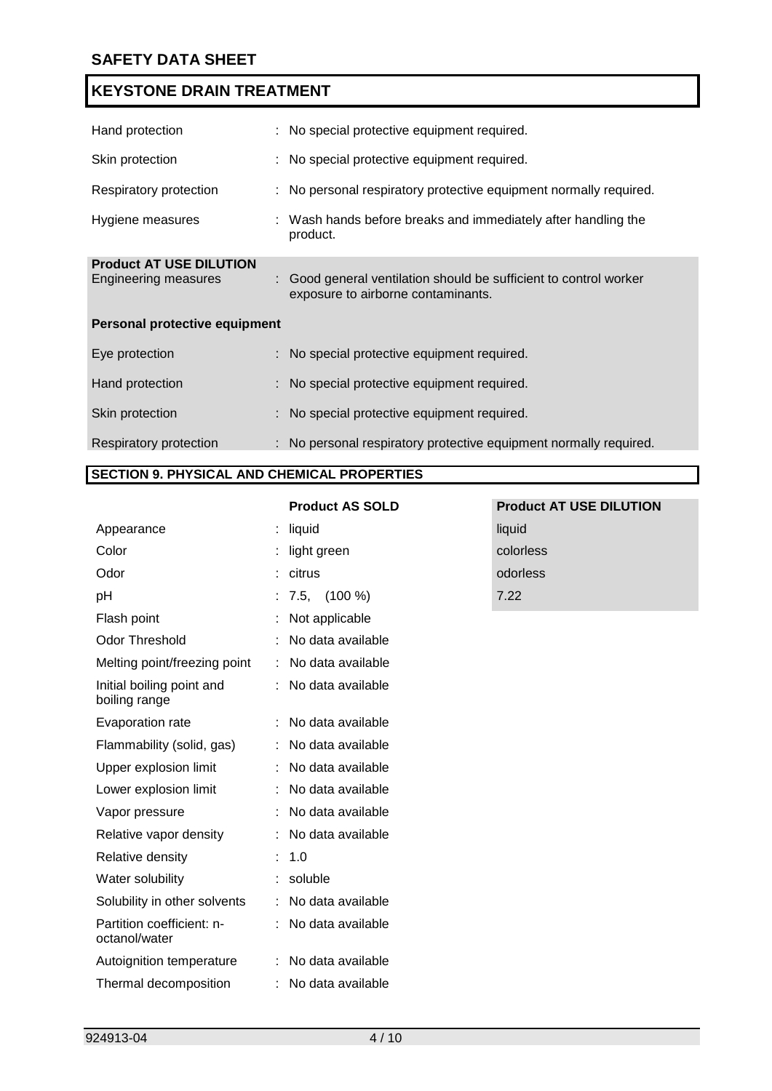| Hand protection                                               | : No special protective equipment required.                                                             |
|---------------------------------------------------------------|---------------------------------------------------------------------------------------------------------|
| Skin protection                                               | : No special protective equipment required.                                                             |
| Respiratory protection                                        | : No personal respiratory protective equipment normally required.                                       |
| Hygiene measures                                              | : Wash hands before breaks and immediately after handling the<br>product.                               |
| <b>Product AT USE DILUTION</b><br><b>Engineering measures</b> | : Good general ventilation should be sufficient to control worker<br>exposure to airborne contaminants. |
| Personal protective equipment                                 |                                                                                                         |
| Eye protection                                                | : No special protective equipment required.                                                             |
| Hand protection                                               | : No special protective equipment required.                                                             |
| Skin protection                                               | : No special protective equipment required.                                                             |
| Respiratory protection                                        | : No personal respiratory protective equipment normally required.                                       |

#### **SECTION 9. PHYSICAL AND CHEMICAL PROPERTIES**

|                                            |    | <b>Product AS SOLD</b> | <b>Product AT USE DILUTION</b> |
|--------------------------------------------|----|------------------------|--------------------------------|
| Appearance                                 |    | liquid                 | liquid                         |
| Color                                      |    | light green            | colorless                      |
| Odor                                       |    | citrus                 | odorless                       |
| pH                                         |    | $7.5, \quad (100\%)$   | 7.22                           |
| Flash point                                |    | Not applicable         |                                |
| Odor Threshold                             |    | No data available      |                                |
| Melting point/freezing point               | ÷. | No data available      |                                |
| Initial boiling point and<br>boiling range |    | : No data available    |                                |
| Evaporation rate                           |    | : No data available    |                                |
| Flammability (solid, gas)                  |    | : No data available    |                                |
| Upper explosion limit                      |    | No data available      |                                |
| Lower explosion limit                      |    | : No data available    |                                |
| Vapor pressure                             |    | : No data available    |                                |
| Relative vapor density                     |    | : No data available    |                                |
| Relative density                           |    | 1.0                    |                                |
| Water solubility                           |    | : soluble              |                                |
| Solubility in other solvents               |    | : No data available    |                                |
| Partition coefficient: n-<br>octanol/water |    | : No data available    |                                |
| Autoignition temperature                   |    | : No data available    |                                |
| Thermal decomposition                      |    | No data available      |                                |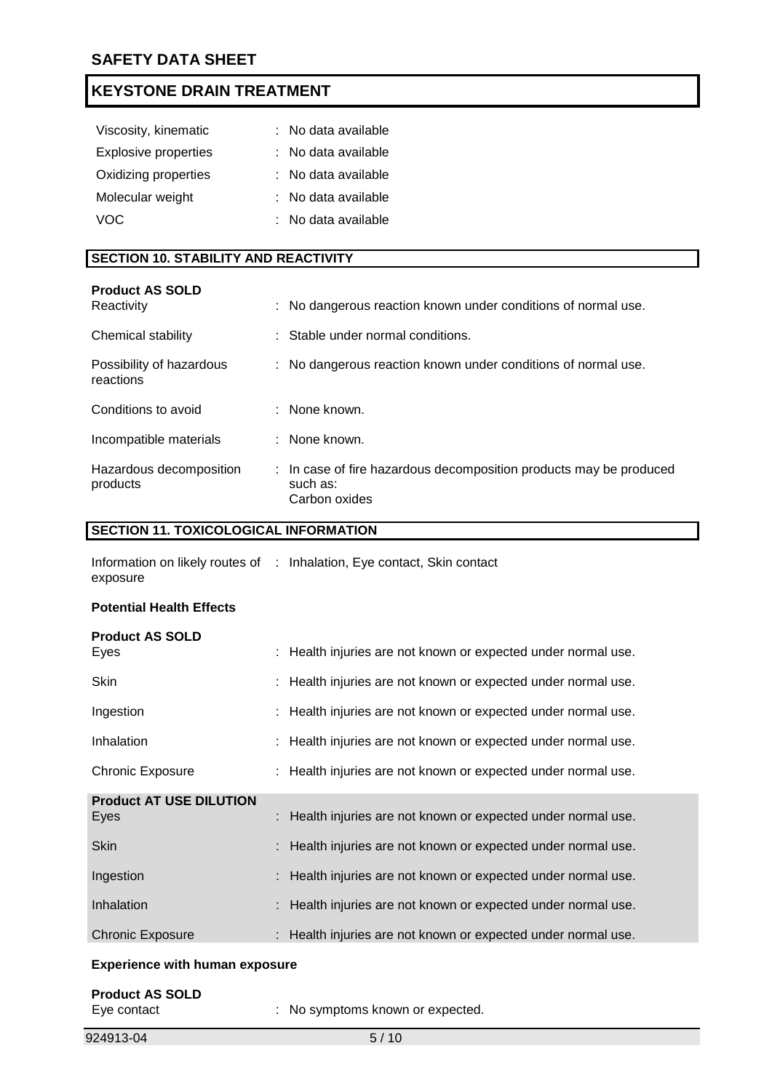| Viscosity, kinematic        | : No data available |
|-----------------------------|---------------------|
| <b>Explosive properties</b> | : No data available |
| Oxidizing properties        | : No data available |
| Molecular weight            | : No data available |
| VOC.                        | : No data available |
|                             |                     |

#### **SECTION 10. STABILITY AND REACTIVITY**

| <b>Product AS SOLD</b><br>Reactivity  | : No dangerous reaction known under conditions of normal use.                                   |
|---------------------------------------|-------------------------------------------------------------------------------------------------|
| Chemical stability                    | : Stable under normal conditions.                                                               |
| Possibility of hazardous<br>reactions | : No dangerous reaction known under conditions of normal use.                                   |
| Conditions to avoid                   | $\therefore$ None known.                                                                        |
| Incompatible materials                | : None known.                                                                                   |
| Hazardous decomposition<br>products   | : In case of fire hazardous decomposition products may be produced<br>such as:<br>Carbon oxides |

### **SECTION 11. TOXICOLOGICAL INFORMATION**

|          | Information on likely routes of : Inhalation, Eye contact, Skin contact |
|----------|-------------------------------------------------------------------------|
| exposure |                                                                         |

#### **Potential Health Effects**

| <b>Product AS SOLD</b><br>Eyes | : Health injuries are not known or expected under normal use. |
|--------------------------------|---------------------------------------------------------------|
|                                |                                                               |
| <b>Skin</b>                    | : Health injuries are not known or expected under normal use. |
| Ingestion                      | : Health injuries are not known or expected under normal use. |
| Inhalation                     | : Health injuries are not known or expected under normal use. |
| Chronic Exposure               | : Health injuries are not known or expected under normal use. |
| <b>Product AT USE DILUTION</b> |                                                               |
| Eyes                           | Health injuries are not known or expected under normal use.   |
| <b>Skin</b>                    | Health injuries are not known or expected under normal use.   |
| Ingestion                      | : Health injuries are not known or expected under normal use. |
| Inhalation                     | Health injuries are not known or expected under normal use.   |
| <b>Chronic Exposure</b>        | : Health injuries are not known or expected under normal use. |
|                                |                                                               |

#### **Experience with human exposure**

| <b>Product AS SOLD</b> |                                  |
|------------------------|----------------------------------|
| Eye contact            | : No symptoms known or expected. |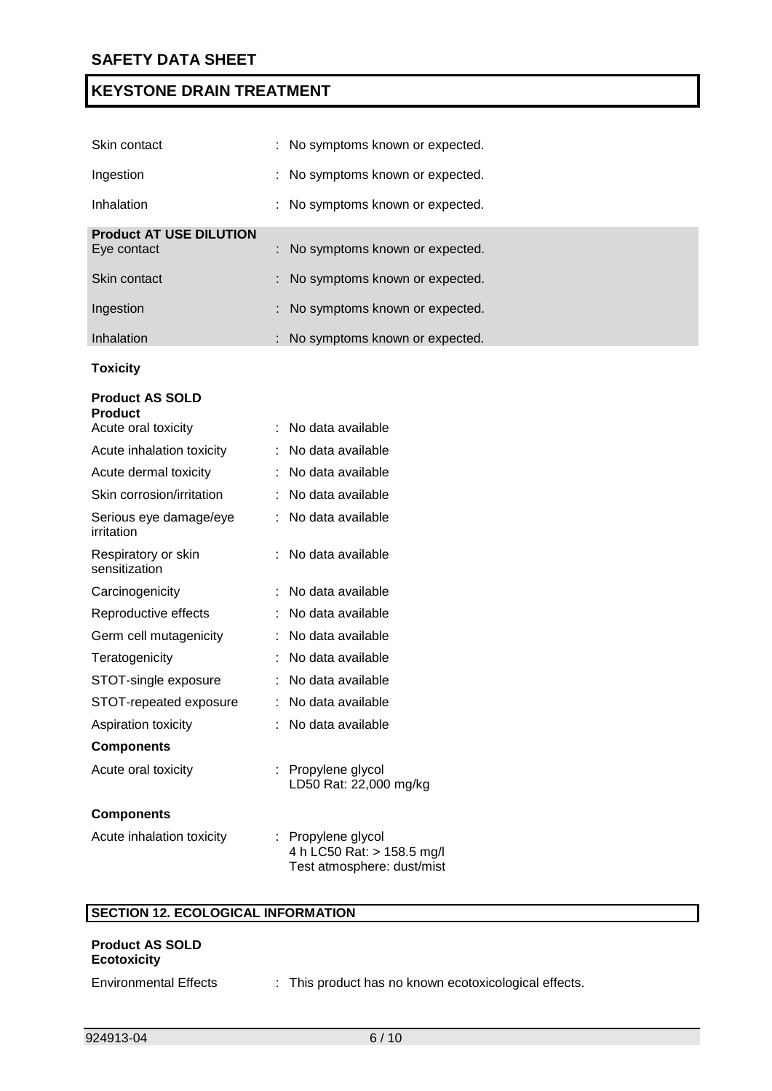| Skin contact                                  | : No symptoms known or expected. |
|-----------------------------------------------|----------------------------------|
| Ingestion                                     | : No symptoms known or expected. |
| Inhalation                                    | : No symptoms known or expected. |
| <b>Product AT USE DILUTION</b><br>Eye contact | : No symptoms known or expected. |
| Skin contact                                  | : No symptoms known or expected. |
| Ingestion                                     | : No symptoms known or expected. |
| Inhalation                                    | : No symptoms known or expected. |

#### **Toxicity**

| <b>Product AS SOLD</b><br><b>Product</b> |                                                  |
|------------------------------------------|--------------------------------------------------|
| Acute oral toxicity                      | No data available<br>÷.                          |
| Acute inhalation toxicity                | No data available                                |
| Acute dermal toxicity                    | No data available                                |
| Skin corrosion/irritation                | No data available<br>÷.                          |
| Serious eye damage/eye<br>irritation     | No data available                                |
| Respiratory or skin<br>sensitization     | No data available                                |
| Carcinogenicity                          | No data available                                |
| Reproductive effects                     | No data available<br>÷.                          |
| Germ cell mutagenicity                   | No data available                                |
| Teratogenicity                           | No data available                                |
| STOT-single exposure                     | No data available                                |
| STOT-repeated exposure                   | No data available                                |
| Aspiration toxicity                      | No data available<br>÷                           |
| <b>Components</b>                        |                                                  |
| Acute oral toxicity                      | Propylene glycol<br>÷.<br>LD50 Rat: 22,000 mg/kg |
| <b>Components</b>                        |                                                  |
| Acute inhalation toxicity                | : Propylene glycol<br>4 h LC50 Rat: > 158.5 mg/l |

# **SECTION 12. ECOLOGICAL INFORMATION**

# **Product AS SOLD Ecotoxicity** Environmental Effects : This product has no known ecotoxicological effects.

Test atmosphere: dust/mist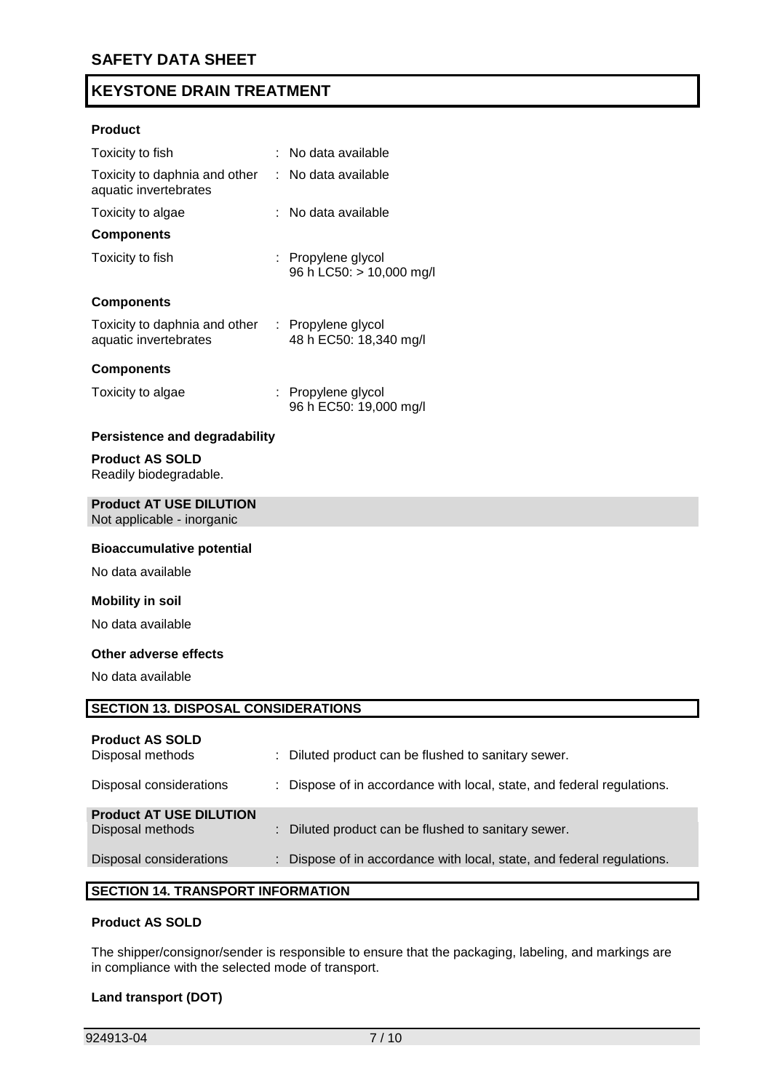#### **Product**

| Toxicity to fish                                       | : No data available                            |
|--------------------------------------------------------|------------------------------------------------|
| Toxicity to daphnia and other<br>aquatic invertebrates | $:$ No data available                          |
| Toxicity to algae                                      | ∶   No data available                          |
| <b>Components</b>                                      |                                                |
| Toxicity to fish                                       | : Propylene glycol<br>96 h LC50: > 10,000 mg/l |
| <b>Components</b>                                      |                                                |
| Toxicity to daphnia and other<br>aquatic invertebrates | : Propylene glycol<br>48 h EC50: 18,340 mg/l   |
| <b>Components</b>                                      |                                                |
| Toxicity to algae                                      | : Propylene glycol<br>96 h EC50: 19,000 mg/l   |

#### **Persistence and degradability**

#### **Product AS SOLD**

Readily biodegradable.

#### **Product AT USE DILUTION**

Not applicable - inorganic

#### **Bioaccumulative potential**

No data available

#### **Mobility in soil**

No data available

#### **Other adverse effects**

No data available

#### **SECTION 13. DISPOSAL CONSIDERATIONS**

#### **Product AS SOLD**

| Disposal methods               | : Diluted product can be flushed to sanitary sewer.                    |
|--------------------------------|------------------------------------------------------------------------|
| Disposal considerations        | : Dispose of in accordance with local, state, and federal regulations. |
| <b>Product AT USE DILUTION</b> |                                                                        |
| Disposal methods               | : Diluted product can be flushed to sanitary sewer.                    |
| Disposal considerations        | : Dispose of in accordance with local, state, and federal regulations. |
|                                |                                                                        |

### **SECTION 14. TRANSPORT INFORMATION**

#### **Product AS SOLD**

The shipper/consignor/sender is responsible to ensure that the packaging, labeling, and markings are in compliance with the selected mode of transport.

#### **Land transport (DOT)**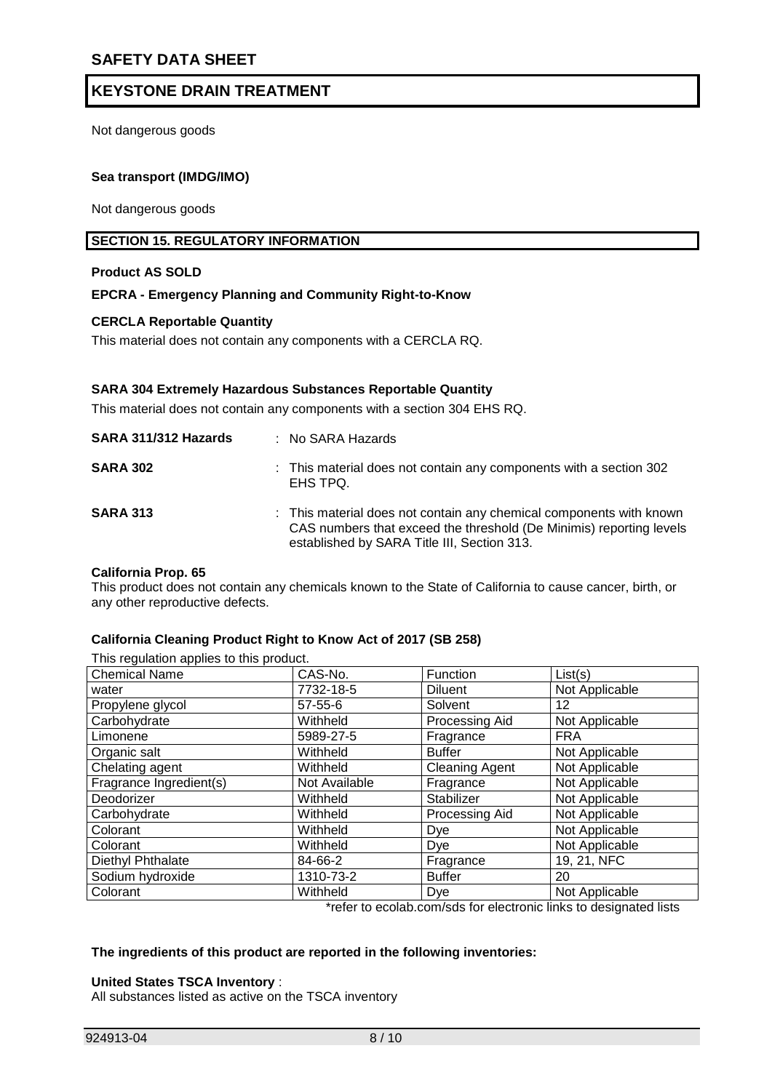Not dangerous goods

#### **Sea transport (IMDG/IMO)**

Not dangerous goods

#### **SECTION 15. REGULATORY INFORMATION**

#### **Product AS SOLD**

#### **EPCRA - Emergency Planning and Community Right-to-Know**

#### **CERCLA Reportable Quantity**

This material does not contain any components with a CERCLA RQ.

#### **SARA 304 Extremely Hazardous Substances Reportable Quantity**

This material does not contain any components with a section 304 EHS RQ.

| SARA 311/312 Hazards | : No SARA Hazards                                                                                                                                                                         |
|----------------------|-------------------------------------------------------------------------------------------------------------------------------------------------------------------------------------------|
| <b>SARA 302</b>      | : This material does not contain any components with a section 302<br>EHS TPQ.                                                                                                            |
| <b>SARA 313</b>      | : This material does not contain any chemical components with known<br>CAS numbers that exceed the threshold (De Minimis) reporting levels<br>established by SARA Title III, Section 313. |

#### **California Prop. 65**

This product does not contain any chemicals known to the State of California to cause cancer, birth, or any other reproductive defects.

#### **California Cleaning Product Right to Know Act of 2017 (SB 258)**

This regulation applies to this product.

| <b>Chemical Name</b>    | CAS-No.       | Function              | List(s)        |
|-------------------------|---------------|-----------------------|----------------|
| water                   | 7732-18-5     | <b>Diluent</b>        | Not Applicable |
| Propylene glycol        | $57 - 55 - 6$ | Solvent               | 12             |
| Carbohydrate            | Withheld      | Processing Aid        | Not Applicable |
| Limonene                | 5989-27-5     | Fragrance             | <b>FRA</b>     |
| Organic salt            | Withheld      | <b>Buffer</b>         | Not Applicable |
| Chelating agent         | Withheld      | <b>Cleaning Agent</b> | Not Applicable |
| Fragrance Ingredient(s) | Not Available | Fragrance             | Not Applicable |
| Deodorizer              | Withheld      | Stabilizer            | Not Applicable |
| Carbohydrate            | Withheld      | Processing Aid        | Not Applicable |
| Colorant                | Withheld      | Dye                   | Not Applicable |
| Colorant                | Withheld      | Dye                   | Not Applicable |
| Diethyl Phthalate       | 84-66-2       | Fragrance             | 19, 21, NFC    |
| Sodium hydroxide        | 1310-73-2     | <b>Buffer</b>         | 20             |
| Colorant                | Withheld      | Dye                   | Not Applicable |

\*refer to ecolab.com/sds for electronic links to designated lists

#### **The ingredients of this product are reported in the following inventories:**

#### **United States TSCA Inventory** :

All substances listed as active on the TSCA inventory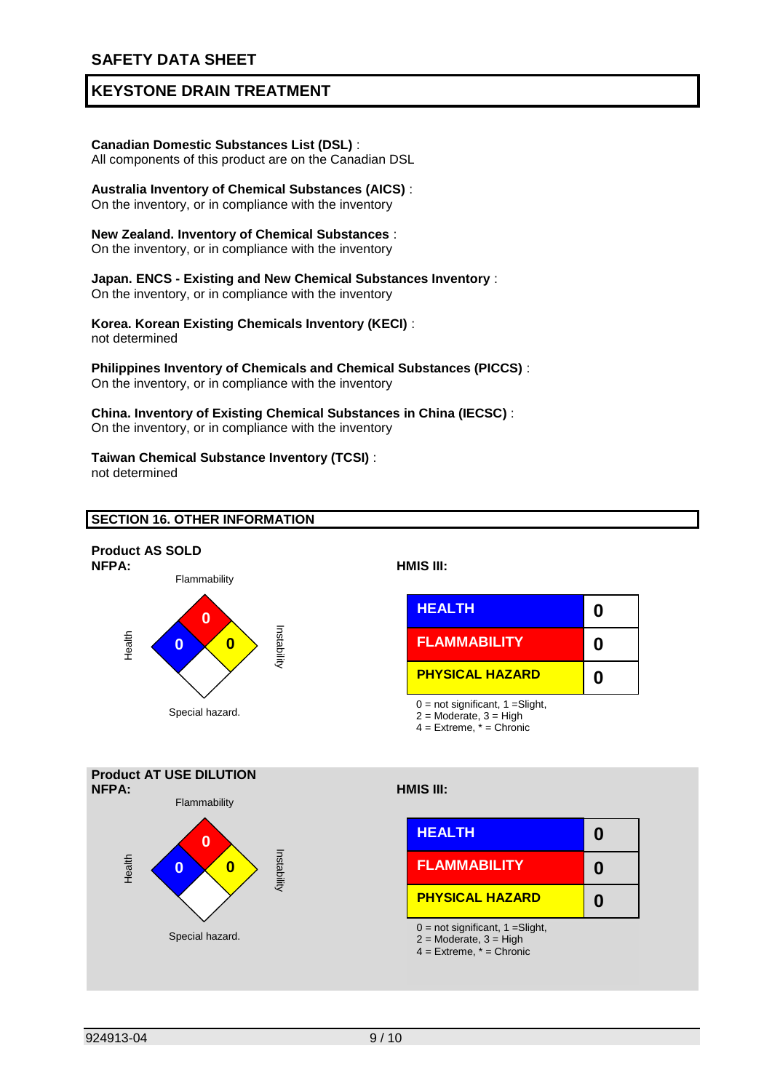#### **Canadian Domestic Substances List (DSL)** :

All components of this product are on the Canadian DSL

#### **Australia Inventory of Chemical Substances (AICS)** :

On the inventory, or in compliance with the inventory

#### **New Zealand. Inventory of Chemical Substances** :

On the inventory, or in compliance with the inventory

#### **Japan. ENCS - Existing and New Chemical Substances Inventory** :

On the inventory, or in compliance with the inventory

**Korea. Korean Existing Chemicals Inventory (KECI)** : not determined

#### **Philippines Inventory of Chemicals and Chemical Substances (PICCS)** : On the inventory, or in compliance with the inventory

**China. Inventory of Existing Chemical Substances in China (IECSC)** : On the inventory, or in compliance with the inventory

#### **Taiwan Chemical Substance Inventory (TCSI)** : not determined

#### **SECTION 16. OTHER INFORMATION**



**NFPA: HMIS III:**



 $0 = not significant, 1 = Slight,$ 

 $4 =$  Extreme,  $* =$  Chronic



 $2 =$  Moderate,  $3 =$  High